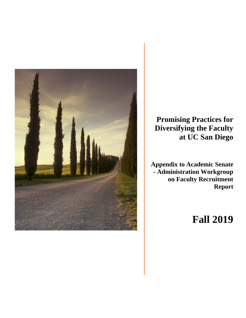

**Promising Practices for Diversifying the Faculty at UC San Diego**

**Appendix to Academic Senate - Administration Workgroup on Faculty Recruitment Report** 

# **Fall 2019**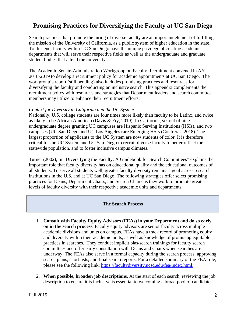# **Promising Practices for Diversifying the Faculty at UC San Diego**

Search practices that promote the hiring of diverse faculty are an important element of fulfilling the mission of the University of California, as a public system of higher education in the state. To this end, faculty within UC San Diego have the unique privilege of creating academic departments that will serve their respective fields as well as the undergraduate and graduate student bodies that attend the university.

The Academic Senate-Administration Workgroup on Faculty Recruitment convened in AY 2018-2019 to develop a recruitment policy for academic appointments at UC San Diego. The workgroup's report (still pending) also includes promising practices and resources for diversifying the faculty and conducting an inclusive search. This appendix complements the recruitment policy with resources and strategies that Department leaders and search committee members may utilize to enhance their recruitment efforts.

#### *Context for Diversity in California and the UC System*

Nationally, U.S. college students are four times more likely than faculty to be Latinx, and twice as likely to be African American (Davis & Fry, 2019). In California, six out of nine undergraduate degree granting UC campuses are Hispanic Serving Institutions (HSIs), and two campuses (UC San Diego and UC Los Angeles) are Emerging HSIs (Contreras, 2018). The largest proportion of applicants to the UC System are now students of color. It is therefore critical for the UC System and UC San Diego to recruit diverse faculty to better reflect the statewide population, and to foster inclusive campus climates.

Turner (2002), in "Diversifying the Faculty: A Guidebook for Search Committees" explains the important role that faculty diversity has on educational quality and the educational outcomes of all students. To serve all students well, greater faculty diversity remains a goal across research institutions in the U.S. and at UC San Diego. The following strategies offer select promising practices for Deans, Department Chairs, and Search Chairs as they work to promote greater levels of faculty diversity with their respective academic units and departments.

#### **The Search Process**

- 1. **Consult with Faculty Equity Advisors (FEAs) in your Department and do so early on in the search process.** Faculty equity advisors are senior faculty across multiple academic divisions and units on campus. FEAs have a track record of promoting equity and diversity within their academic units, as well as knowledge of promising equitable practices in searches. They conduct implicit bias/search trainings for faculty search committees and offer early consultation with Deans and Chairs when searches are underway. The FEAs also serve in a formal capacity during the search process, approving search plans, short lists, and final search reports. For a detailed summary of the FEA role, please see the following link: [https://facultydiversity.ucsd.edu/fea/index.html.](https://facultydiversity.ucsd.edu/fea/index.html)
- 2. **When possible, broaden job descriptions**. At the start of each search, reviewing the job description to ensure it is inclusive is essential to welcoming a broad pool of candidates.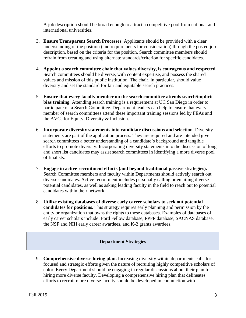A job description should be broad enough to attract a competitive pool from national and international universities.

- 3. **Ensure Transparent Search Processes**. Applicants should be provided with a clear understanding of the position (and requirements for consideration) through the posted job description, based on the criteria for the position. Search committee members should refrain from creating and using alternate standards/criterion for specific candidates.
- 4. **Appoint a search committee chair that values diversity, is courageous and respected**. Search committees should be diverse, with content expertise, and possess the shared values and mission of this public institution. The chair, in particular, should value diversity and set the standard for fair and equitable search practices.
- 5. **Ensure that every faculty member on the search committee attends search/implicit bias training**. Attending search training is a requirement at UC San Diego in order to participate on a Search Committee. Department leaders can help to ensure that every member of search committees attend these important training sessions led by FEAs and the AVCs for Equity, Diversity & Inclusion.
- 6. **Incorporate diversity statements into candidate discussions and selection**. Diversity statements are part of the application process. They are required and are intended give search committees a better understanding of a candidate's background and tangible efforts to promote diversity. Incorporating diversity statements into the discussion of long and short list candidates may assist search committees in identifying a more diverse pool of finalists.
- 7. **Engage in active recruitment efforts (and beyond traditional passive strategies).** Search Committee members and faculty within Departments should actively search out diverse candidates. Active recruitment includes personally calling or emailing diverse potential candidates, as well as asking leading faculty in the field to reach out to potential candidates within their network.
- 8. **Utilize existing databases of diverse early career scholars to seek out potential candidates for positions.** This strategy requires early planning and permission by the entity or organization that owns the rights to these databases. Examples of databases of early career scholars include: Ford Fellow database, PPFP database, SACNAS database, the NSF and NIH early career awardees, and K-2 grants awardees.

## **Department Strategies**

9. **Comprehensive diverse hiring plan.** Increasing diversity within departments calls for focused and strategic efforts given the nature of recruiting highly competitive scholars of color. Every Department should be engaging in regular discussions about their plan for hiring more diverse faculty. Developing a comprehensive hiring plan that delineates efforts to recruit more diverse faculty should be developed in conjunction with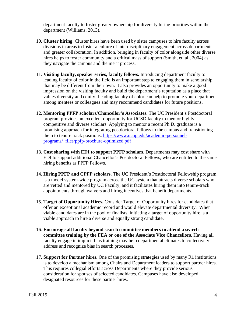department faculty to foster greater ownership for diversity hiring priorities within the department (Williams, 2013).

- 10. **Cluster hiring**. Cluster hires have been used by sister campuses to hire faculty across divisions in areas to foster a culture of interdisciplinary engagement across departments and greater collaboration. In addition, bringing in faculty of color alongside other diverse hires helps to foster community and a critical mass of support (Smith, et. al., 2004) as they navigate the campus and the merit process.
- 11. **Visiting faculty, speaker series, faculty fellows.** Introducing department faculty to leading faculty of color in the field is an important step to engaging them in scholarship that may be different from their own. It also provides an opportunity to make a good impression on the visiting faculty and build the department's reputation as a place that values diversity and equity. Leading faculty of color can help to promote your department among mentees or colleagues and may recommend candidates for future positions.
- 12. **Mentoring PPFP scholars/Chancellor's Associates.** The UC President's Postdoctoral program provides an excellent opportunity for UCSD faculty to mentor highly competitive and diverse scholars. Applying to mentor a recent Ph.D. graduate is a promising approach for integrating postdoctoral fellows to the campus and transitioning them to tenure track positions. [https://www.ucop.edu/academic-personnel](https://www.ucop.edu/academic-personnel-programs/_files/ppfp-brochure-optimized.pdf)[programs/\\_files/ppfp-brochure-optimized.pdf](https://www.ucop.edu/academic-personnel-programs/_files/ppfp-brochure-optimized.pdf)
- 13. **Cost sharing with EDI to support PPFP scholars**. Departments may cost share with EDI to support additional Chancellor's Postdoctoral Fellows, who are entitled to the same hiring benefits as PPFP Fellows.
- 14. **Hiring PPFP and CPFP scholars.** The UC President's Postdoctoral Fellowship program is a model system-wide program across the UC system that attracts diverse scholars who are vetted and mentored by UC Faculty, and it facilitates hiring them into tenure-track appointments through waivers and hiring incentives that benefit departments.
- 15. **Target of Opportunity Hires.** Consider Target of Opportunity hires for candidates that offer an exceptional academic record and would elevate departmental diversity. When viable candidates are in the pool of finalists, initiating a target of opportunity hire is a viable approach to hire a diverse and equally strong candidate.
- 16. **Encourage all faculty beyond search committee members to attend a search committee training by the FEA or one of the Associate Vice Chancellors.** Having all faculty engage in implicit bias training may help departmental climates to collectively address and recognize bias in search processes.
- 17. **Support for Partner hires.** One of the promising strategies used by many R1 institutions is to develop a mechanism among Chairs and Department leaders to support partner hires. This requires collegial efforts across Departments where they provide serious consideration for spouses of selected candidates. Campuses have also developed designated resources for these partner hires.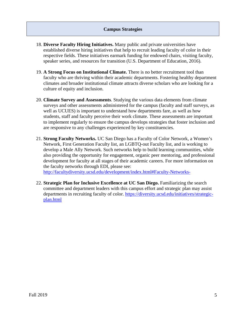### **Campus Strategies**

- 18. **Diverse Faculty Hiring Initiatives.** Many public and private universities have established diverse hiring initiatives that help to recruit leading faculty of color in their respective fields. These initiatives earmark funding for endowed chairs, visiting faculty, speaker series, and resources for transition (U.S. Department of Education, 2016).
- 19. **A Strong Focus on Institutional Climate.** There is no better recruitment tool than faculty who are thriving within their academic departments. Fostering healthy department climates and broader institutional climate attracts diverse scholars who are looking for a culture of equity and inclusion.
- 20. **Climate Survey and Assessments**. Studying the various data elements from climate surveys and other assessments administered for the campus (faculty and staff surveys, as well as UCUES) is important to understand how departments fare, as well as how students, staff and faculty perceive their work climate. These assessments are important to implement regularly to ensure the campus develops strategies that foster inclusion and are responsive to any challenges experienced by key constituencies.
- 21. **Strong Faculty Networks.** UC San Diego has a Faculty of Color Network, a Women's Network, First Generation Faculty list, an LGBTQ-out Faculty list, and is working to develop a Male Ally Network. Such networks help to build learning communities, while also providing the opportunity for engagement, organic peer mentoring, and professional development for faculty at all stages of their academic careers. For more information on the faculty networks through EDI, please see: <http://facultydiversity.ucsd.edu/development/index.html#Faculty-Networks->
- 22. **Strategic Plan for Inclusive Excellence at UC San Diego.** Familiarizing the search committee and department leaders with this campus effort and strategic plan may assist departments in recruiting faculty of color. [https://diversity.ucsd.edu/initiatives/strategic](https://diversity.ucsd.edu/initiatives/strategic-plan.html)[plan.html](https://diversity.ucsd.edu/initiatives/strategic-plan.html)